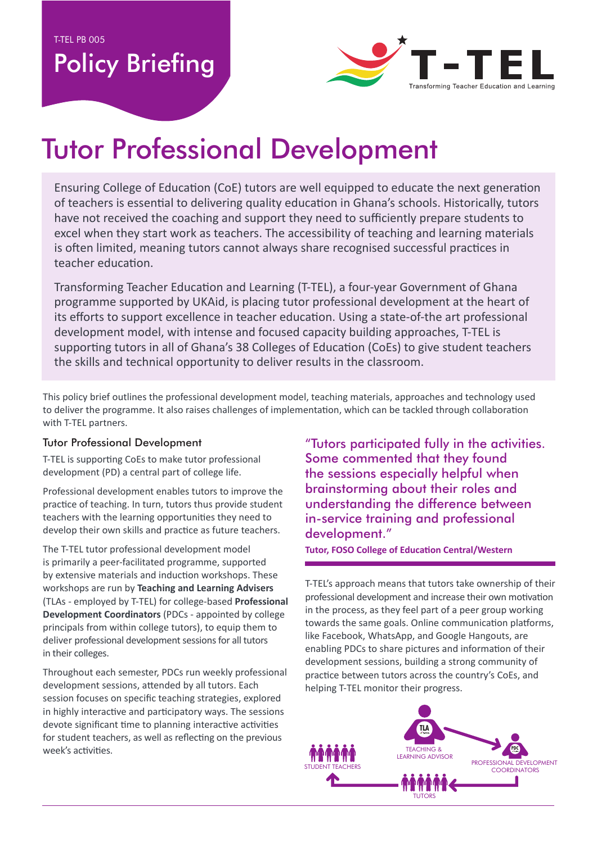**T-TEL PB 005** 

## **Policy Briefing**



# **Tutor Professional Development**

Ensuring College of Education (CoE) tutors are well equipped to educate the next generation of teachers is essential to delivering quality education in Ghana's schools. Historically, tutors have not received the coaching and support they need to sufficiently prepare students to excel when they start work as teachers. The accessibility of teaching and learning materials is often limited, meaning tutors cannot always share recognised successful practices in teacher education.

Transforming Teacher Education and Learning (T-TEL), a four-year Government of Ghana programme supported by UKAid, is placing tutor professional development at the heart of its efforts to support excellence in teacher education. Using a state-of-the art professional development model, with intense and focused capacity building approaches, T-TEL is supporting tutors in all of Ghana's 38 Colleges of Education (CoEs) to give student teachers the skills and technical opportunity to deliver results in the classroom.

This policy brief outlines the professional development model, teaching materials, approaches and technology used to deliver the programme. It also raises challenges of implementation, which can be tackled through collaboration with T-TEL partners.

#### **Tutor Professional Development**

T-TEL is supporting CoEs to make tutor professional development (PD) a central part of college life.

Professional development enables tutors to improve the practice of teaching. In turn, tutors thus provide student teachers with the learning opportunities they need to develop their own skills and practice as future teachers.

The T-TEL tutor professional development model is primarily a peer-facilitated programme, supported by extensive materials and induction workshops. These workshops are run by Teaching and Learning Advisers (TLAs - employed by T-TEL) for college-based Professional Development Coordinators (PDCs - appointed by college principals from within college tutors), to equip them to deliver professional development sessions for all tutors in their colleges.

Throughout each semester, PDCs run weekly professional development sessions, attended by all tutors. Each session focuses on specific teaching strategies, explored in highly interactive and participatory ways. The sessions devote significant time to planning interactive activities for student teachers, as well as reflecting on the previous week's activities.

"Tutors participated fully in the activities. Some commented that they found the sessions especially helpful when brainstorming about their roles and understanding the difference between in-service training and professional development."

**Tutor, FOSO College of Education Central/Western** 

T-TEL's approach means that tutors take ownership of their professional development and increase their own motivation in the process, as they feel part of a peer group working towards the same goals. Online communication platforms, like Facebook, WhatsApp, and Google Hangouts, are enabling PDCs to share pictures and information of their development sessions, building a strong community of practice between tutors across the country's CoEs, and helping T-TEL monitor their progress.